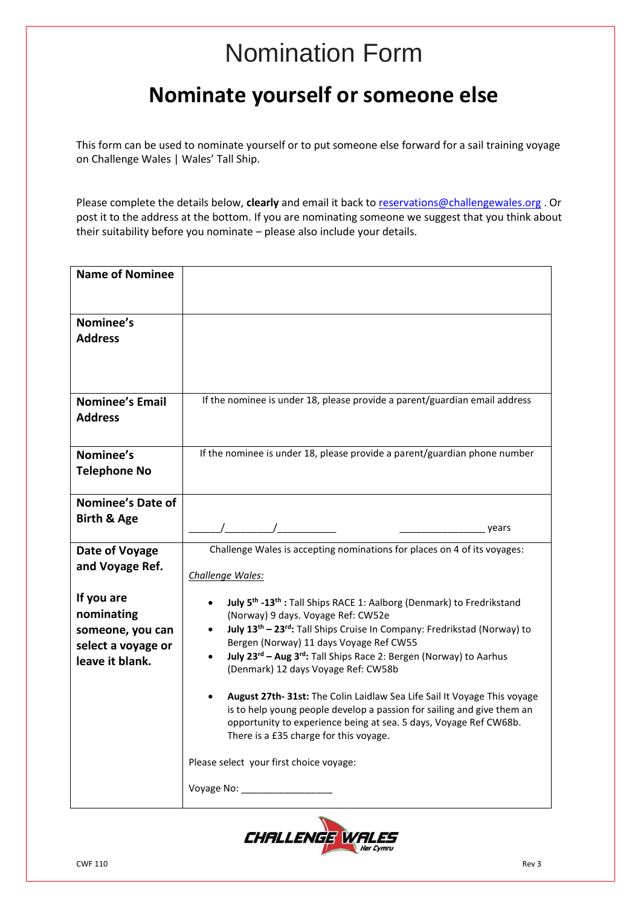# Nomination Form

## **Nominate yourself or someone else**

This form can be used to nominate yourself or to put someone else forward for a sail training voyage on Challenge Wales | Wales' Tall Ship.

Please complete the details below, **clearly** and email it back t[o reservations@challengewales.org](mailto:reservations@challengewales.org) . Or post it to the address at the bottom. If you are nominating someone we suggest that you think about their suitability before you nominate – please also include your details.

| <b>Name of Nominee</b>                                                                |                                                                                                                                                                                                                                                                                                                                                                                                                                                                                                                                                                                                                                                                                                           |  |
|---------------------------------------------------------------------------------------|-----------------------------------------------------------------------------------------------------------------------------------------------------------------------------------------------------------------------------------------------------------------------------------------------------------------------------------------------------------------------------------------------------------------------------------------------------------------------------------------------------------------------------------------------------------------------------------------------------------------------------------------------------------------------------------------------------------|--|
|                                                                                       |                                                                                                                                                                                                                                                                                                                                                                                                                                                                                                                                                                                                                                                                                                           |  |
| Nominee's<br><b>Address</b>                                                           |                                                                                                                                                                                                                                                                                                                                                                                                                                                                                                                                                                                                                                                                                                           |  |
| <b>Nominee's Email</b><br><b>Address</b>                                              | If the nominee is under 18, please provide a parent/guardian email address                                                                                                                                                                                                                                                                                                                                                                                                                                                                                                                                                                                                                                |  |
| Nominee's<br><b>Telephone No</b>                                                      | If the nominee is under 18, please provide a parent/guardian phone number                                                                                                                                                                                                                                                                                                                                                                                                                                                                                                                                                                                                                                 |  |
| Nominee's Date of<br><b>Birth &amp; Age</b>                                           | years                                                                                                                                                                                                                                                                                                                                                                                                                                                                                                                                                                                                                                                                                                     |  |
| Date of Voyage<br>and Voyage Ref.                                                     | Challenge Wales is accepting nominations for places on 4 of its voyages:<br>Challenge Wales:                                                                                                                                                                                                                                                                                                                                                                                                                                                                                                                                                                                                              |  |
| If you are<br>nominating<br>someone, you can<br>select a voyage or<br>leave it blank. | July 5 <sup>th</sup> -13 <sup>th</sup> : Tall Ships RACE 1: Aalborg (Denmark) to Fredrikstand<br>(Norway) 9 days. Voyage Ref: CW52e<br>July 13 <sup>th</sup> - 23 <sup>rd</sup> : Tall Ships Cruise In Company: Fredrikstad (Norway) to<br>$\bullet$<br>Bergen (Norway) 11 days Voyage Ref CW55<br>July 23 <sup>rd</sup> - Aug 3 <sup>rd</sup> : Tall Ships Race 2: Bergen (Norway) to Aarhus<br>(Denmark) 12 days Voyage Ref: CW58b<br>August 27th- 31st: The Colin Laidlaw Sea Life Sail It Voyage This voyage<br>is to help young people develop a passion for sailing and give them an<br>opportunity to experience being at sea. 5 days, Voyage Ref CW68b.<br>There is a £35 charge for this voyage. |  |
|                                                                                       | Please select your first choice voyage:<br>Voyage No: _______________                                                                                                                                                                                                                                                                                                                                                                                                                                                                                                                                                                                                                                     |  |
|                                                                                       |                                                                                                                                                                                                                                                                                                                                                                                                                                                                                                                                                                                                                                                                                                           |  |

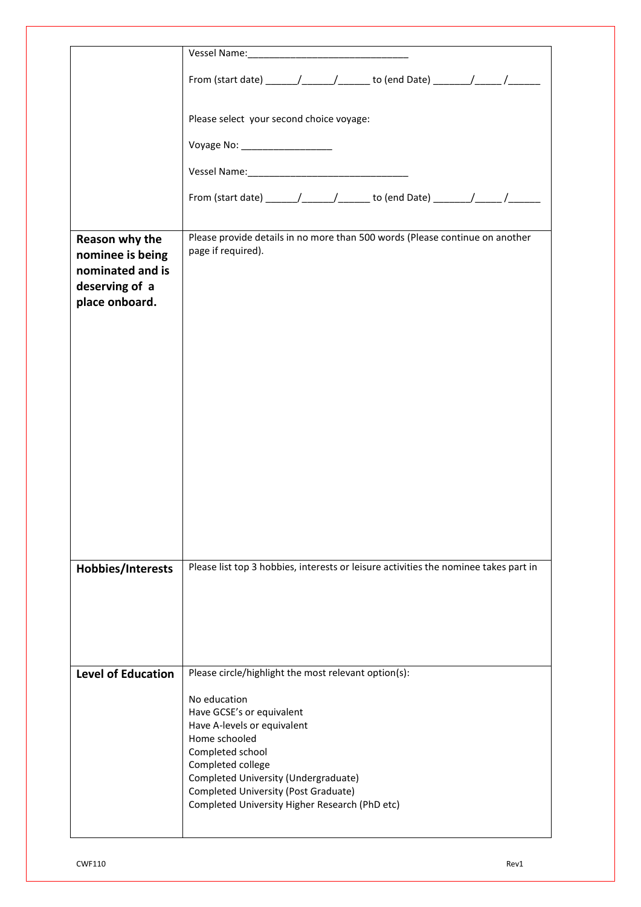|                                                                                            | From (start date) ________/______________ to (end Date) _________/_______/_______                                                                                                                                                                                    |  |  |  |  |
|--------------------------------------------------------------------------------------------|----------------------------------------------------------------------------------------------------------------------------------------------------------------------------------------------------------------------------------------------------------------------|--|--|--|--|
|                                                                                            | Please select your second choice voyage:                                                                                                                                                                                                                             |  |  |  |  |
|                                                                                            | Voyage No: ____________________                                                                                                                                                                                                                                      |  |  |  |  |
|                                                                                            |                                                                                                                                                                                                                                                                      |  |  |  |  |
|                                                                                            | From (start date) _______/________/ _______ to (end Date) ________/______/_______                                                                                                                                                                                    |  |  |  |  |
| Reason why the<br>nominee is being<br>nominated and is<br>deserving of a<br>place onboard. | Please provide details in no more than 500 words (Please continue on another<br>page if required).                                                                                                                                                                   |  |  |  |  |
| Hobbies/Interests                                                                          | Please list top 3 hobbies, interests or leisure activities the nominee takes part in                                                                                                                                                                                 |  |  |  |  |
| <b>Level of Education</b>                                                                  | Please circle/highlight the most relevant option(s):                                                                                                                                                                                                                 |  |  |  |  |
|                                                                                            | No education<br>Have GCSE's or equivalent<br>Have A-levels or equivalent<br>Home schooled<br>Completed school<br>Completed college<br>Completed University (Undergraduate)<br>Completed University (Post Graduate)<br>Completed University Higher Research (PhD etc) |  |  |  |  |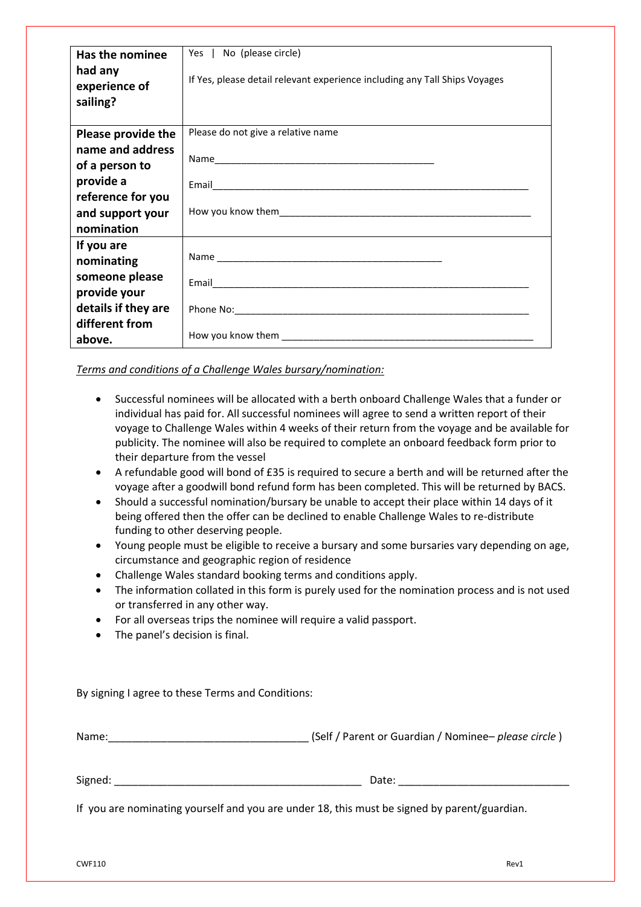| Has the nominee     | Yes   No (please circle)                                                   |  |  |
|---------------------|----------------------------------------------------------------------------|--|--|
|                     |                                                                            |  |  |
| had any             |                                                                            |  |  |
| experience of       | If Yes, please detail relevant experience including any Tall Ships Voyages |  |  |
| sailing?            |                                                                            |  |  |
|                     |                                                                            |  |  |
|                     |                                                                            |  |  |
| Please provide the  | Please do not give a relative name                                         |  |  |
| name and address    |                                                                            |  |  |
| of a person to      |                                                                            |  |  |
| provide a           |                                                                            |  |  |
| reference for you   |                                                                            |  |  |
| and support your    |                                                                            |  |  |
| nomination          |                                                                            |  |  |
|                     |                                                                            |  |  |
| If you are          |                                                                            |  |  |
| nominating          |                                                                            |  |  |
| someone please      |                                                                            |  |  |
| provide your        |                                                                            |  |  |
| details if they are |                                                                            |  |  |
| different from      |                                                                            |  |  |
| above.              |                                                                            |  |  |

#### *Terms and conditions of a Challenge Wales bursary/nomination:*

- Successful nominees will be allocated with a berth onboard Challenge Wales that a funder or individual has paid for. All successful nominees will agree to send a written report of their voyage to Challenge Wales within 4 weeks of their return from the voyage and be available for publicity. The nominee will also be required to complete an onboard feedback form prior to their departure from the vessel
- A refundable good will bond of £35 is required to secure a berth and will be returned after the voyage after a goodwill bond refund form has been completed. This will be returned by BACS.
- Should a successful nomination/bursary be unable to accept their place within 14 days of it being offered then the offer can be declined to enable Challenge Wales to re-distribute funding to other deserving people.
- Young people must be eligible to receive a bursary and some bursaries vary depending on age, circumstance and geographic region of residence
- Challenge Wales standard booking terms and conditions apply.
- The information collated in this form is purely used for the nomination process and is not used or transferred in any other way.
- For all overseas trips the nominee will require a valid passport.
- The panel's decision is final.

By signing I agree to these Terms and Conditions:

| Name:   | (Self / Parent or Guardian / Nominee– please circle) |  |
|---------|------------------------------------------------------|--|
|         |                                                      |  |
| Signed: | Date:                                                |  |

If you are nominating yourself and you are under 18, this must be signed by parent/guardian.